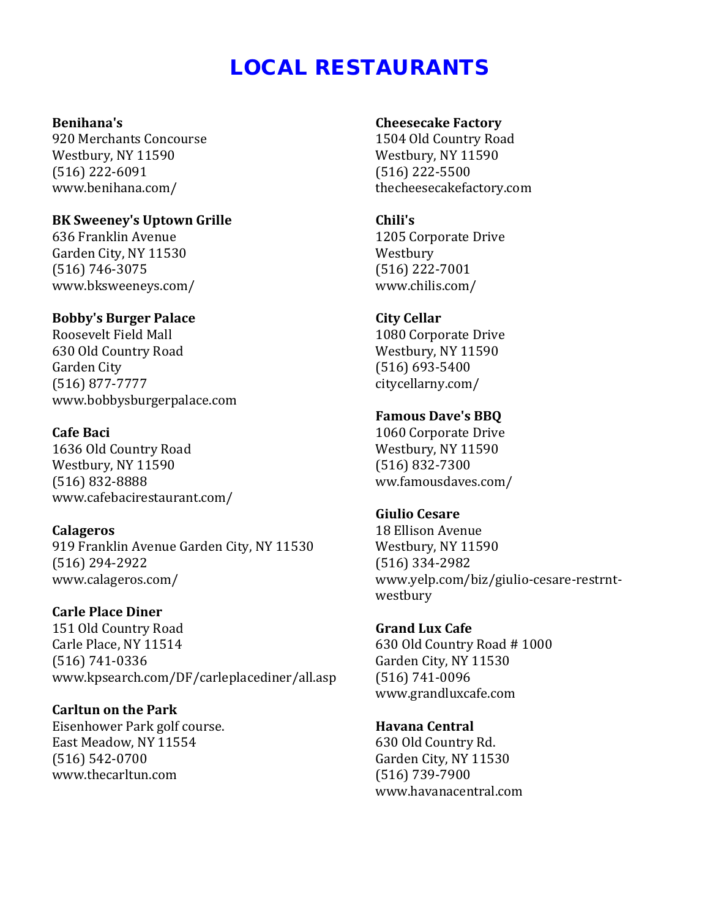# LOCAL RESTAURANTS

#### **Benihana's**

920 Merchants Concourse Westbury, NY 11590 (516) 222-6091 [www.benihana.com/](http://www.benihana.com/)

## **BK Sweeney's Uptown Grille**

636 Franklin Avenue Garden City, NY 11530 (516) 746-3075 [www.bksweeneys.com/](http://www.bksweeneys.com/)

# **Bobby's Burger Palace**

Roosevelt Field Mall 630 Old Country Road Garden City [\(516\) 877-7777](tel:+15168777777) [www.bobbysburgerpalace.com](http://www.bobbysburgerpalace.com/)

# **Cafe Baci**

1636 Old Country Road Westbury, NY 11590 (516) 832-8888 [www.cafebacirestaurant.com/](http://www.cafebacirestaurant.com/)

#### **Calageros**

919 Franklin Avenue Garden City, NY 11530 (516) 294-2922 [www.calageros.com/](http://www.calageros.com/)

**Carle Place Diner** 151 Old Country Road Carle Place, NY 11514 (516) 741-0336 [www.kpsearch.com/DF/carleplacediner/all.asp](http://www.kpsearch.com/DF/carleplacediner/all.asp)

**Carltun on the Park** Eisenhower Park golf course. East Meadow, NY 11554 (516) 542-0700 [www.thecarltun.com](http://www.thecarltun.com/)

#### **Cheesecake Factory**

1504 Old Country Road Westbury, NY 11590 (516) 222-5500 thecheesecakefactory.com

#### **Chili's**

1205 Corporate Drive Westbury (516) 222-7001 [www.chilis.com/](http://www.chilis.com/)

# **City Cellar**

1080 Corporate Drive Westbury, NY 11590 (516) 693-5400 [citycellarny.com/](http://citycellarny.com/)

## **Famous Dave's BBQ**

1060 Corporate Drive Westbury, NY 11590 (516) 832-7300 [ww.famousdaves.com/](http://www.famousdaves.com/)

#### **Giulio Cesare**

18 Ellison Avenue Westbury, NY 11590 (516) 334-2982 [www.yelp.com/biz/giulio-cesare-restrnt](http://www.yelp.com/biz/giulio-cesare-restrnt-westbury)[westbury](http://www.yelp.com/biz/giulio-cesare-restrnt-westbury)

# **Grand Lux Cafe**

630 Old Country Road # 1000 Garden City, NY 11530 (516) 741-0096 [www.grandluxcafe.com](http://www.grandluxcafe.com/)

**Havana Central** 630 Old Country Rd. Garden City, NY 11530 (516) 739-7900 www.havanacentral.com